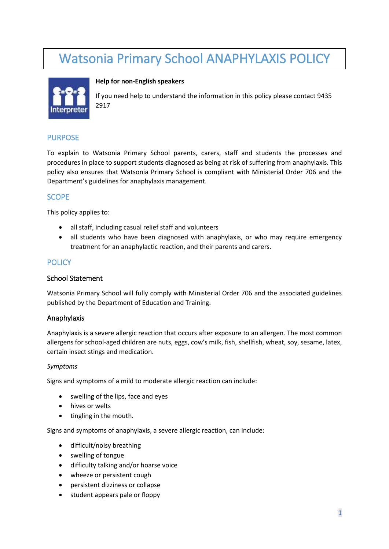# Watsonia Primary School ANAPHYLAXIS POLICY



#### **Help for non-English speakers**

If you need help to understand the information in this policy please contact 9435 2917

#### PURPOSE

To explain to Watsonia Primary School parents, carers, staff and students the processes and procedures in place to support students diagnosed as being at risk of suffering from anaphylaxis. This policy also ensures that Watsonia Primary School is compliant with Ministerial Order 706 and the Department's guidelines for anaphylaxis management.

# **SCOPE**

This policy applies to:

- all staff, including casual relief staff and volunteers
- all students who have been diagnosed with anaphylaxis, or who may require emergency treatment for an anaphylactic reaction, and their parents and carers.

## **POLICY**

#### School Statement

Watsonia Primary School will fully comply with Ministerial Order 706 and the associated guidelines published by the Department of Education and Training.

#### Anaphylaxis

Anaphylaxis is a severe allergic reaction that occurs after exposure to an allergen. The most common allergens for school-aged children are nuts, eggs, cow's milk, fish, shellfish, wheat, soy, sesame, latex, certain insect stings and medication.

#### *Symptoms*

Signs and symptoms of a mild to moderate allergic reaction can include:

- swelling of the lips, face and eyes
- hives or welts
- tingling in the mouth.

Signs and symptoms of anaphylaxis, a severe allergic reaction, can include:

- difficult/noisy breathing
- swelling of tongue
- difficulty talking and/or hoarse voice
- wheeze or persistent cough
- persistent dizziness or collapse
- student appears pale or floppy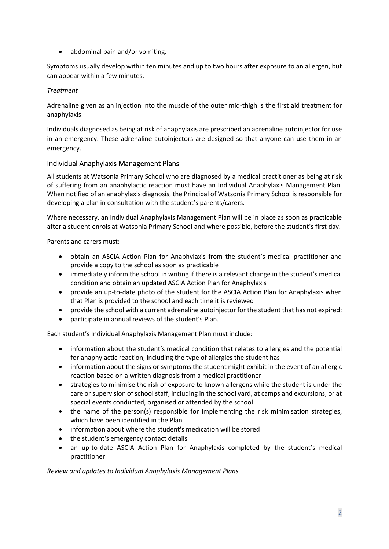• abdominal pain and/or vomiting.

Symptoms usually develop within ten minutes and up to two hours after exposure to an allergen, but can appear within a few minutes.

## *Treatment*

Adrenaline given as an injection into the muscle of the outer mid-thigh is the first aid treatment for anaphylaxis.

Individuals diagnosed as being at risk of anaphylaxis are prescribed an adrenaline autoinjector for use in an emergency. These adrenaline autoinjectors are designed so that anyone can use them in an emergency.

# Individual Anaphylaxis Management Plans

All students at Watsonia Primary School who are diagnosed by a medical practitioner as being at risk of suffering from an anaphylactic reaction must have an Individual Anaphylaxis Management Plan. When notified of an anaphylaxis diagnosis, the Principal of Watsonia Primary School is responsible for developing a plan in consultation with the student's parents/carers.

Where necessary, an Individual Anaphylaxis Management Plan will be in place as soon as practicable after a student enrols at Watsonia Primary School and where possible, before the student's first day.

Parents and carers must:

- obtain an ASCIA Action Plan for Anaphylaxis from the student's medical practitioner and provide a copy to the school as soon as practicable
- immediately inform the school in writing if there is a relevant change in the student's medical condition and obtain an updated ASCIA Action Plan for Anaphylaxis
- provide an up-to-date photo of the student for the ASCIA Action Plan for Anaphylaxis when that Plan is provided to the school and each time it is reviewed
- provide the school with a current adrenaline autoinjector for the student that has not expired;
- participate in annual reviews of the student's Plan.

Each student's Individual Anaphylaxis Management Plan must include:

- information about the student's medical condition that relates to allergies and the potential for anaphylactic reaction, including the type of allergies the student has
- information about the signs or symptoms the student might exhibit in the event of an allergic reaction based on a written diagnosis from a medical practitioner
- strategies to minimise the risk of exposure to known allergens while the student is under the care or supervision of school staff, including in the school yard, at camps and excursions, or at special events conducted, organised or attended by the school
- the name of the person(s) responsible for implementing the risk minimisation strategies, which have been identified in the Plan
- information about where the student's medication will be stored
- the student's emergency contact details
- an up-to-date ASCIA Action Plan for Anaphylaxis completed by the student's medical practitioner.

#### *Review and updates to Individual Anaphylaxis Management Plans*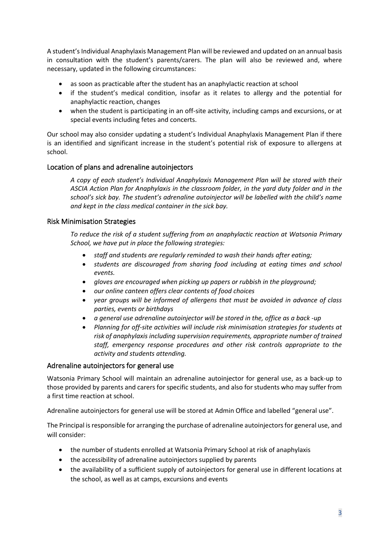A student's Individual Anaphylaxis Management Plan will be reviewed and updated on an annual basis in consultation with the student's parents/carers. The plan will also be reviewed and, where necessary, updated in the following circumstances:

- as soon as practicable after the student has an anaphylactic reaction at school
- if the student's medical condition, insofar as it relates to allergy and the potential for anaphylactic reaction, changes
- when the student is participating in an off-site activity, including camps and excursions, or at special events including fetes and concerts.

Our school may also consider updating a student's Individual Anaphylaxis Management Plan if there is an identified and significant increase in the student's potential risk of exposure to allergens at school.

## Location of plans and adrenaline autoinjectors

*A copy of each student's Individual Anaphylaxis Management Plan will be stored with their ASCIA Action Plan for Anaphylaxis in the classroom folder, in the yard duty folder and in the school's sick bay. The student's adrenaline autoinjector will be labelled with the child's name and kept in the class medical container in the sick bay.*

## Risk Minimisation Strategies

*To reduce the risk of a student suffering from an anaphylactic reaction at Watsonia Primary School, we have put in place the following strategies:*

- *staff and students are regularly reminded to wash their hands after eating;*
- *students are discouraged from sharing food including at eating times and school events.*
- *gloves are encouraged when picking up papers or rubbish in the playground;*
- *our online canteen offers clear contents of food choices*
- *year groups will be informed of allergens that must be avoided in advance of class parties, events or birthdays*
- *a general use adrenaline autoinjector will be stored in the, office as a back -up*
- *Planning for off-site activities will include risk minimisation strategies for students at risk of anaphylaxis including supervision requirements, appropriate number of trained staff, emergency response procedures and other risk controls appropriate to the activity and students attending.*

#### Adrenaline autoinjectors for general use

Watsonia Primary School will maintain an adrenaline autoinjector for general use, as a back-up to those provided by parents and carers for specific students, and also for students who may suffer from a first time reaction at school.

Adrenaline autoinjectors for general use will be stored at Admin Office and labelled "general use".

The Principal is responsible for arranging the purchase of adrenaline autoinjectors for general use, and will consider:

- the number of students enrolled at Watsonia Primary School at risk of anaphylaxis
- the accessibility of adrenaline autoinjectors supplied by parents
- the availability of a sufficient supply of autoinjectors for general use in different locations at the school, as well as at camps, excursions and events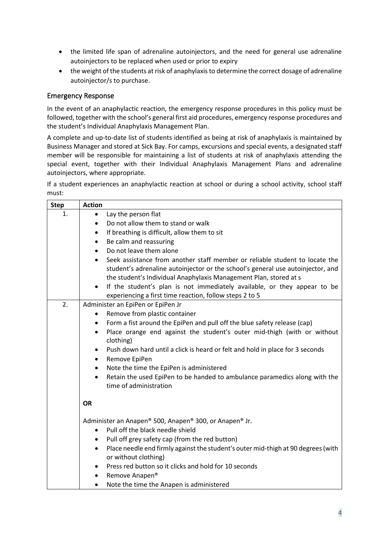- the limited life span of adrenaline autoinjectors, and the need for general use adrenaline autoinjectors to be replaced when used or prior to expiry
- the weight of the students at risk of anaphylaxis to determine the correct dosage of adrenaline autoinjector/s to purchase.

#### Emergency Response

In the event of an anaphylactic reaction, the emergency response procedures in this policy must be followed, together with the school's general first aid procedures, emergency response procedures and the student's Individual Anaphylaxis Management Plan.

A complete and up-to-date list of students identified as being at risk of anaphylaxis is maintained by Business Manager and stored at Sick Bay. For camps, excursions and special events, a designated staff member will be responsible for maintaining a list of students at risk of anaphylaxis attending the special event, together with their Individual Anaphylaxis Management Plans and adrenaline autoinjectors, where appropriate.

If a student experiences an anaphylactic reaction at school or during a school activity, school staff must:

| <b>Step</b> | <b>Action</b>                                                                                                                                                                                                                       |  |
|-------------|-------------------------------------------------------------------------------------------------------------------------------------------------------------------------------------------------------------------------------------|--|
| 1.          | Lay the person flat<br>$\bullet$                                                                                                                                                                                                    |  |
|             | Do not allow them to stand or walk<br>$\bullet$                                                                                                                                                                                     |  |
|             | If breathing is difficult, allow them to sit<br>$\bullet$                                                                                                                                                                           |  |
|             | Be calm and reassuring<br>$\bullet$                                                                                                                                                                                                 |  |
|             | Do not leave them alone<br>$\bullet$                                                                                                                                                                                                |  |
|             | Seek assistance from another staff member or reliable student to locate the<br>student's adrenaline autoinjector or the school's general use autoinjector, and<br>the student's Individual Anaphylaxis Management Plan, stored at s |  |
|             | If the student's plan is not immediately available, or they appear to be<br>$\bullet$<br>experiencing a first time reaction, follow steps 2 to 5                                                                                    |  |
| 2.          | Administer an EpiPen or EpiPen Jr                                                                                                                                                                                                   |  |
|             | Remove from plastic container<br>٠                                                                                                                                                                                                  |  |
|             | Form a fist around the EpiPen and pull off the blue safety release (cap)<br>$\bullet$                                                                                                                                               |  |
|             | Place orange end against the student's outer mid-thigh (with or without<br>$\bullet$<br>clothing)                                                                                                                                   |  |
|             | Push down hard until a click is heard or felt and hold in place for 3 seconds<br>$\bullet$                                                                                                                                          |  |
|             | Remove EpiPen<br>$\bullet$                                                                                                                                                                                                          |  |
|             | Note the time the EpiPen is administered<br>$\bullet$                                                                                                                                                                               |  |
|             | Retain the used EpiPen to be handed to ambulance paramedics along with the<br>$\bullet$<br>time of administration                                                                                                                   |  |
|             | <b>OR</b>                                                                                                                                                                                                                           |  |
|             | Administer an Anapen® 500, Anapen® 300, or Anapen® Jr.                                                                                                                                                                              |  |
|             | Pull off the black needle shield<br>$\bullet$                                                                                                                                                                                       |  |
|             | Pull off grey safety cap (from the red button)<br>٠                                                                                                                                                                                 |  |
|             | Place needle end firmly against the student's outer mid-thigh at 90 degrees (with<br>$\bullet$<br>or without clothing)                                                                                                              |  |
|             | Press red button so it clicks and hold for 10 seconds<br>$\bullet$                                                                                                                                                                  |  |
|             | Remove Anapen®                                                                                                                                                                                                                      |  |
|             | Note the time the Anapen is administered<br>$\bullet$                                                                                                                                                                               |  |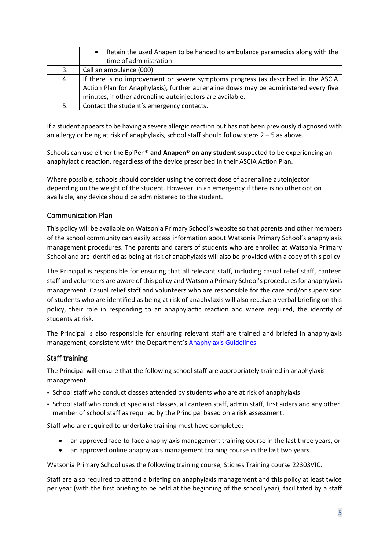|    | Retain the used Anapen to be handed to ambulance paramedics along with the<br>$\bullet$ |
|----|-----------------------------------------------------------------------------------------|
|    | time of administration                                                                  |
| 3. | Call an ambulance (000)                                                                 |
| 4. | If there is no improvement or severe symptoms progress (as described in the ASCIA       |
|    | Action Plan for Anaphylaxis), further adrenaline doses may be administered every five   |
|    | minutes, if other adrenaline autoinjectors are available.                               |
| 5. | Contact the student's emergency contacts.                                               |

If a student appears to be having a severe allergic reaction but has not been previously diagnosed with an allergy or being at risk of anaphylaxis, school staff should follow steps 2 – 5 as above.

Schools can use either the EpiPen® **and Anapen® on any student** suspected to be experiencing an anaphylactic reaction, regardless of the device prescribed in their ASCIA Action Plan.

Where possible, schools should consider using the correct dose of adrenaline autoinjector depending on the weight of the student. However, in an emergency if there is no other option available, any device should be administered to the student.

## Communication Plan

This policy will be available on Watsonia Primary School's website so that parents and other members of the school community can easily access information about Watsonia Primary School's anaphylaxis management procedures. The parents and carers of students who are enrolled at Watsonia Primary School and are identified as being at risk of anaphylaxis will also be provided with a copy of this policy.

The Principal is responsible for ensuring that all relevant staff, including casual relief staff, canteen staff and volunteers are aware of this policy and Watsonia Primary School's procedures for anaphylaxis management. Casual relief staff and volunteers who are responsible for the care and/or supervision of students who are identified as being at risk of anaphylaxis will also receive a verbal briefing on this policy, their role in responding to an anaphylactic reaction and where required, the identity of students at risk.

The Principal is also responsible for ensuring relevant staff are trained and briefed in anaphylaxis management, consistent with the Department's [Anaphylaxis Guidelines.](https://www2.education.vic.gov.au/pal/anaphylaxis/guidance)

#### Staff training

The Principal will ensure that the following school staff are appropriately trained in anaphylaxis management:

- School staff who conduct classes attended by students who are at risk of anaphylaxis
- School staff who conduct specialist classes, all canteen staff, admin staff, first aiders and any other member of school staff as required by the Principal based on a risk assessment.

Staff who are required to undertake training must have completed:

- an approved face-to-face anaphylaxis management training course in the last three years, or
- an approved online anaphylaxis management training course in the last two years.

Watsonia Primary School uses the following training course; Stiches Training course 22303VIC.

Staff are also required to attend a briefing on anaphylaxis management and this policy at least twice per year (with the first briefing to be held at the beginning of the school year), facilitated by a staff